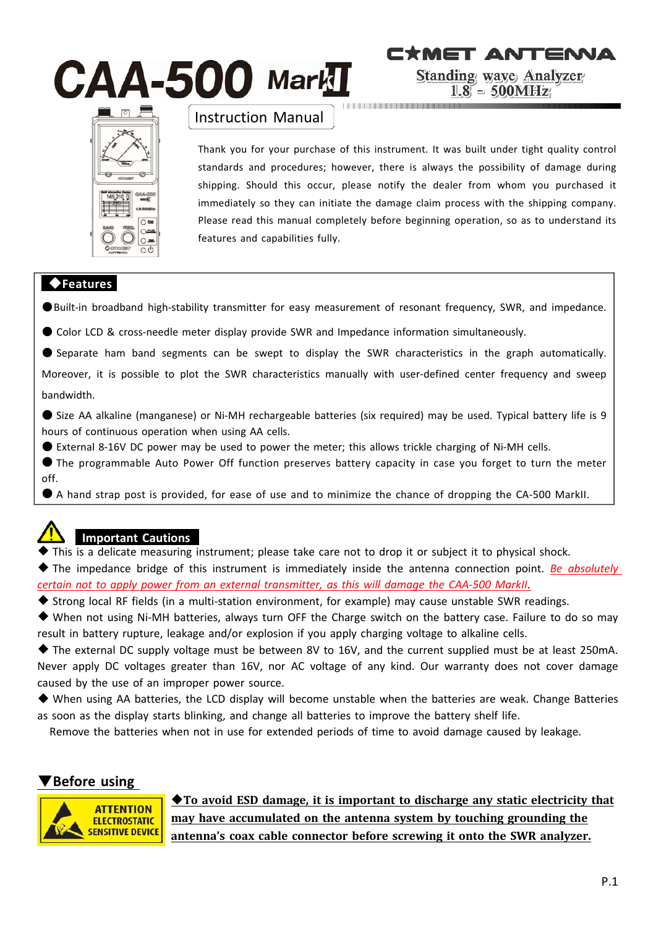# $\mathbf{CAA}$ -500 Mark $\mathbf I$



## Instruction Manual

Thank you for your purchase of this instrument. It was built under tight quality control standards and procedures; however, there is always the possibility of damage during shipping. Should this occur, please notify the dealer from whom you purchased it immediately so they can initiate the damage claim process with the shipping company. Please read this manual completely before beginning operation, so as to understand its features and capabilities fully.

**CYMET ANTENIA** 

**Standing wave Analyzer**  $1.8 = 500 \text{MHz}$ 

## ◆**Features**

●Built-in broadband high-stability transmitter for easy measurement of resonant frequency, SWR, and impedance.

- Color LCD & cross-needle meter display provide SWR and Impedance information simultaneously.
- Separate ham band segments can be swept to display the SWR characteristics in the graph automatically.

Moreover, it is possible to plot the SWR characteristics manually with user-defined center frequency and sweep bandwidth.

● Size AA alkaline (manganese) or Ni-MH rechargeable batteries (six required) may be used. Typical battery life is 9 hours of continuous operation when using AA cells.

● External 8-16V DC power may be used to power the meter; this allows trickle charging of Ni-MH cells.

● The programmable Auto Power Off function preserves battery capacity in case you forget to turn the meter off.

● A hand strap post is provided, for ease of use and to minimize the chance of dropping the CA-500 MarkII.



## **Important Cautions**

◆ This is a delicate measuring instrument; please take care not to drop it or subject it to physical shock.

◆ The impedance bridge of this instrument is immediately inside the antenna connection point. *Be absolutely certain not to apply power from an external transmitter, as this will damage the CAA‐500 MarkII*.

- ◆ Strong local RF fields (in a multi-station environment, for example) may cause unstable SWR readings.
- ◆ When not using Ni-MH batteries, always turn OFF the Charge switch on the battery case. Failure to do so may result in battery rupture, leakage and/or explosion if you apply charging voltage to alkaline cells.

◆ The external DC supply voltage must be between 8V to 16V, and the current supplied must be at least 250mA. Never apply DC voltages greater than 16V, nor AC voltage of any kind. Our warranty does not cover damage caused by the use of an improper power source.

◆ When using AA batteries, the LCD display will become unstable when the batteries are weak. Change Batteries as soon as the display starts blinking, and change all batteries to improve the battery shelf life.

Remove the batteries when not in use for extended periods of time to avoid damage caused by leakage.

## ▼**Before using**



◆**To avoid ESD damage, it is important to discharge any static electricity that may have accumulated on the antenna system by touching grounding the antenna's coax cable connector before screwing it onto the SWR analyzer.**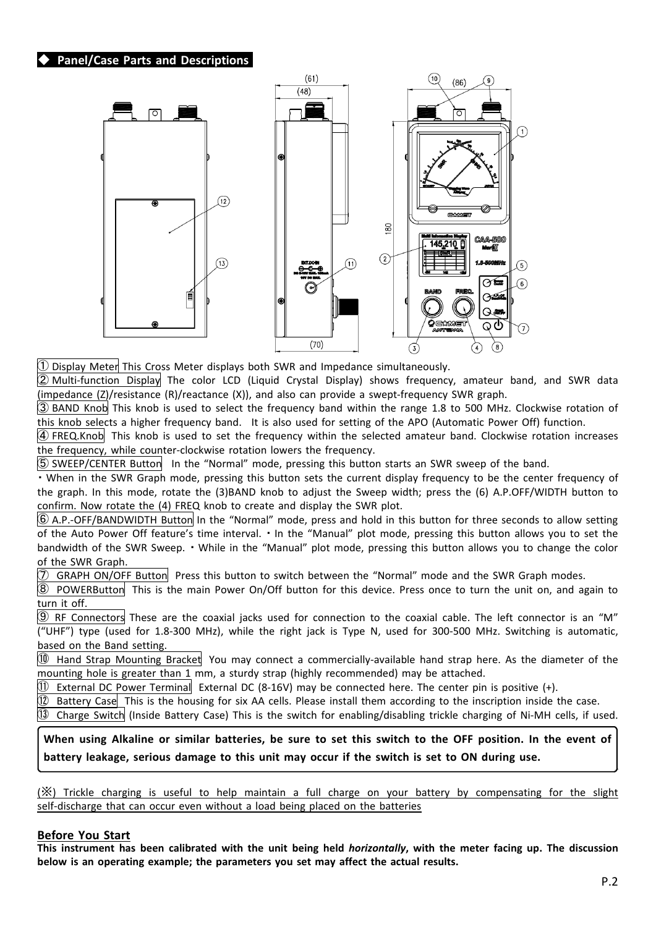#### **Panel/Case Parts and Descriptions**



 $\mathbb D$  Display Meter This Cross Meter displays both SWR and Impedance simultaneously.

② Multi‐function Display The color LCD (Liquid Crystal Display) shows frequency, amateur band, and SWR data (impedance (Z)/resistance (R)/reactance (X)), and also can provide a swept‐frequency SWR graph.

③ BAND Knob This knob is used to select the frequency band within the range 1.8 to 500 MHz. Clockwise rotation of this knob selects a higher frequency band. It is also used for setting of the APO (Automatic Power Off) function.

④ FREQ.Knob This knob is used to set the frequency within the selected amateur band. Clockwise rotation increases the frequency, while counter‐clockwise rotation lowers the frequency.

⑤ SWEEP/CENTER Button In the "Normal" mode, pressing this button starts an SWR sweep of the band.

・ When in the SWR Graph mode, pressing this button sets the current display frequency to be the center frequency of the graph. In this mode, rotate the (3)BAND knob to adjust the Sweep width; press the (6) A.P.OFF/WIDTH button to confirm. Now rotate the (4) FREQ knob to create and display the SWR plot.

⑥ A.P.‐OFF/BANDWIDTH Button In the "Normal" mode, press and hold in this button for three seconds to allow setting of the Auto Power Off feature's time interval. ・ In the "Manual" plot mode, pressing this button allows you to set the bandwidth of the SWR Sweep. • While in the "Manual" plot mode, pressing this button allows you to change the color of the SWR Graph.

 $\bar{\mathcal{D}}$  GRAPH ON/OFF Button Press this button to switch between the "Normal" mode and the SWR Graph modes.

⑧ POWERButton This is the main Power On/Off button for this device. Press once to turn the unit on, and again to turn it off.

 $\circled9$  RF Connectors These are the coaxial jacks used for connection to the coaxial cable. The left connector is an "M" ("UHF") type (used for 1.8‐300 MHz), while the right jack is Type N, used for 300‐500 MHz. Switching is automatic, based on the Band setting.

⑩ Hand Strap Mounting Bracket You may connect a commercially‐available hand strap here. As the diameter of the mounting hole is greater than 1 mm, a sturdy strap (highly recommended) may be attached.

 $\textcircled{1}$  External DC Power Terminal External DC (8-16V) may be connected here. The center pin is positive (+).

 $(12)$  Battery Case This is the housing for six AA cells. Please install them according to the inscription inside the case.

⑬ Charge Switch (Inside Battery Case) This is the switch for enabling/disabling trickle charging of Ni‐MH cells, if used.

### **When using Alkaline or similar batteries, be sure to set this switch to the OFF position. In the event of battery leakage, serious damage to this unit may occur if the switch is set to ON during use.**

(※) Trickle charging is useful to help maintain a full charge on your battery by compensating for the slight self-discharge that can occur even without a load being placed on the batteries

#### **Before You Start**

**This instrument has been calibrated with the unit being held** *horizontally***, with the meter facing up. The discussion below is an operating example; the parameters you set may affect the actual results.**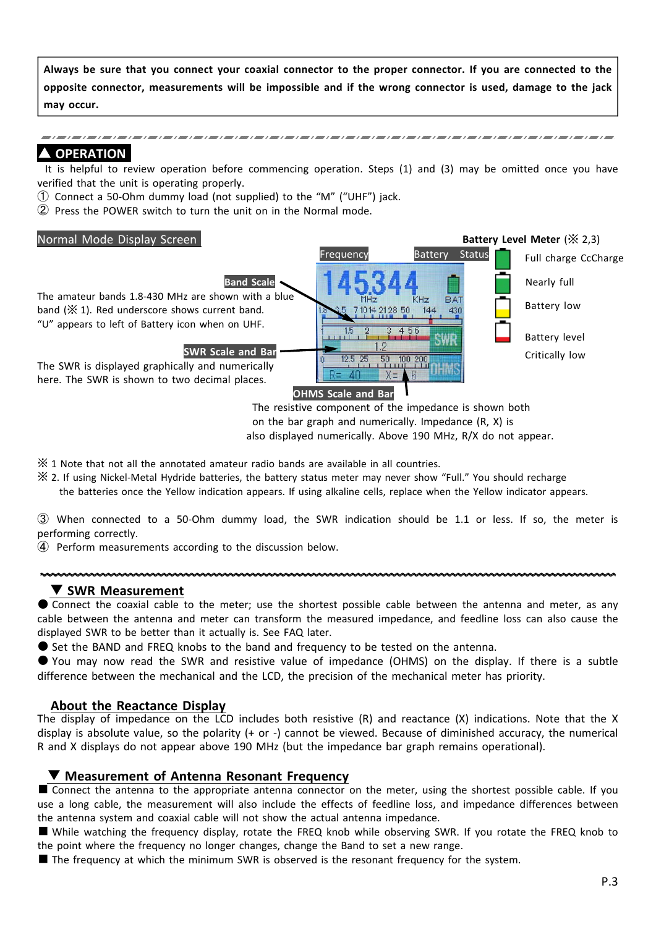**Always be sure that you connect your coaxial connector to the proper connector. If you are connected to the opposite connector, measurements will be impossible and if the wrong connector is used, damage to the jack may occur.**

#### **OPERATION**

It is helpful to review operation before commencing operation. Steps (1) and (3) may be omitted once you have verified that the unit is operating properly.

- $\odot$  Connect a 50-Ohm dummy load (not supplied) to the "M" ("UHF") jack.
- ② Press the POWER switch to turn the unit on in the Normal mode.



on the bar graph and numerically. Impedance (R, X) is also displayed numerically. Above 190 MHz, R/X do not appear.

※ 1 Note that not all the annotated amateur radio bands are available in all countries.

- ※ 2. If using Nickel‐Metal Hydride batteries, the battery status meter may never show "Full." You should recharge
	- the batteries once the Yellow indication appears. If using alkaline cells, replace when the Yellow indicator appears.

③ When connected to a 50‐Ohm dummy load, the SWR indication should be 1.1 or less. If so, the meter is performing correctly.

④ Perform measurements according to the discussion below.

#### ▼ **SWR Measurement**

● Connect the coaxial cable to the meter; use the shortest possible cable between the antenna and meter, as any cable between the antenna and meter can transform the measured impedance, and feedline loss can also cause the displayed SWR to be better than it actually is. See FAQ later.

● Set the BAND and FREQ knobs to the band and frequency to be tested on the antenna.

● You may now read the SWR and resistive value of impedance (OHMS) on the display. If there is a subtle difference between the mechanical and the LCD, the precision of the mechanical meter has priority.

#### **About the Reactance Display**

The display of impedance on the LCD includes both resistive (R) and reactance (X) indications. Note that the X display is absolute value, so the polarity (+ or ‐) cannot be viewed. Because of diminished accuracy, the numerical R and X displays do not appear above 190 MHz (but the impedance bar graph remains operational).

#### ▼ **Measurement of Antenna Resonant Frequency**

■ Connect the antenna to the appropriate antenna connector on the meter, using the shortest possible cable. If you use a long cable, the measurement will also include the effects of feedline loss, and impedance differences between the antenna system and coaxial cable will not show the actual antenna impedance.

■ While watching the frequency display, rotate the FREQ knob while observing SWR. If you rotate the FREQ knob to the point where the frequency no longer changes, change the Band to set a new range.

■ The frequency at which the minimum SWR is observed is the resonant frequency for the system.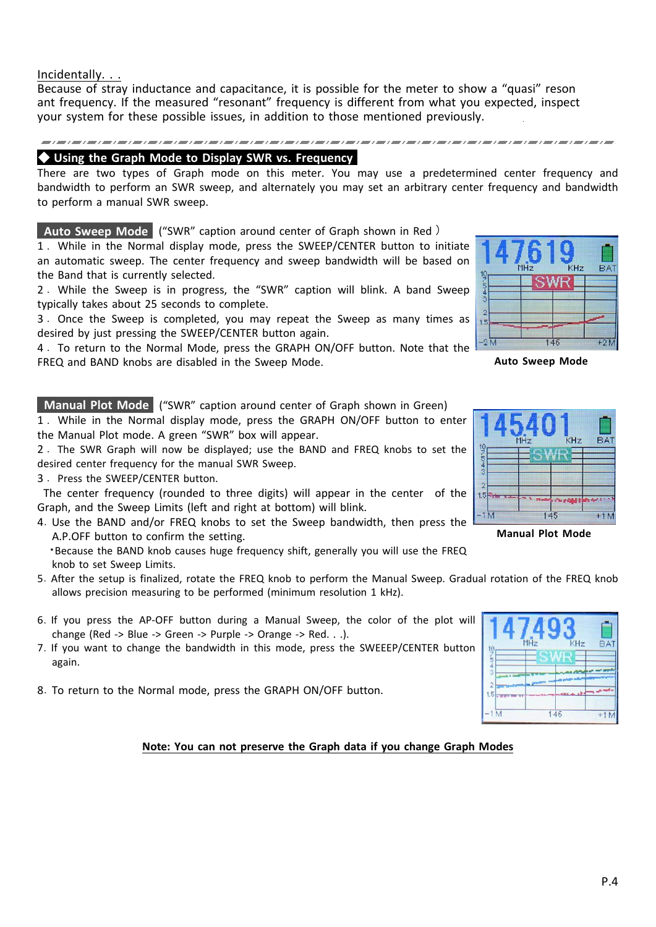Incidentally. . .

Because of stray inductance and capacitance, it is possible for the meter to show a "quasi" reson ant frequency. If the measured "resonant" frequency is different from what you expected, inspect your system for these possible issues, in addition to those mentioned previously.

## ◆ **Using the Graph Mode to Display SWR vs. Frequency**

There are two types of Graph mode on this meter. You may use a predetermined center frequency and bandwidth to perform an SWR sweep, and alternately you may set an arbitrary center frequency and bandwidth to perform a manual SWR sweep.

**Auto Sweep Mode** ("SWR" caption around center of Graph shown in Red )

1 . While in the Normal display mode, press the SWEEP/CENTER button to initiate an automatic sweep. The center frequency and sweep bandwidth will be based on the Band that is currently selected.

2 . While the Sweep is in progress, the "SWR" caption will blink. A band Sweep typically takes about 25 seconds to complete.

3 . Once the Sweep is completed, you may repeat the Sweep as many times as desired by just pressing the SWEEP/CENTER button again.

4 . To return to the Normal Mode, press the GRAPH ON/OFF button. Note that the FREQ and BAND knobs are disabled in the Sweep Mode.

**Manual Plot Mode** ("SWR" caption around center of Graph shown in Green)

1 . While in the Normal display mode, press the GRAPH ON/OFF button to enter the Manual Plot mode. A green "SWR" box will appear.

2 . The SWR Graph will now be displayed; use the BAND and FREQ knobs to set the desired center frequency for the manual SWR Sweep.

3 . Press the SWEEP/CENTER button.

The center frequency (rounded to three digits) will appear in the center of the Graph, and the Sweep Limits (left and right at bottom) will blink.

4.Use the BAND and/or FREQ knobs to set the Sweep bandwidth, then press the A.P.OFF button to confirm the setting.

・Because the BAND knob causes huge frequency shift, generally you will use the FREQ knob to set Sweep Limits.

- 5.After the setup is finalized, rotate the FREQ knob to perform the Manual Sweep. Gradual rotation of the FREQ knob allows precision measuring to be performed (minimum resolution 1 kHz).
- 6.If you press the AP‐OFF button during a Manual Sweep, the color of the plot will change (Red ‐> Blue ‐> Green ‐> Purple ‐> Orange ‐> Red. . .).
- 7.If you want to change the bandwidth in this mode, press the SWEEEP/CENTER button again.
- 8.To return to the Normal mode, press the GRAPH ON/OFF button.

**Note: You can not preserve the Graph data if you change Graph Modes**

**BA1**  $-2M$  $146$  $+9<sub>b</sub>$ 

**Auto Sweep Mode**



**Manual Plot Mode**

|                            | MHz | KHz | <b>BAT</b> |
|----------------------------|-----|-----|------------|
| 02/07/10<br>$\overline{2}$ |     |     |            |
| 1.5 <sub>z</sub><br>1M     |     | 146 | $+1h$      |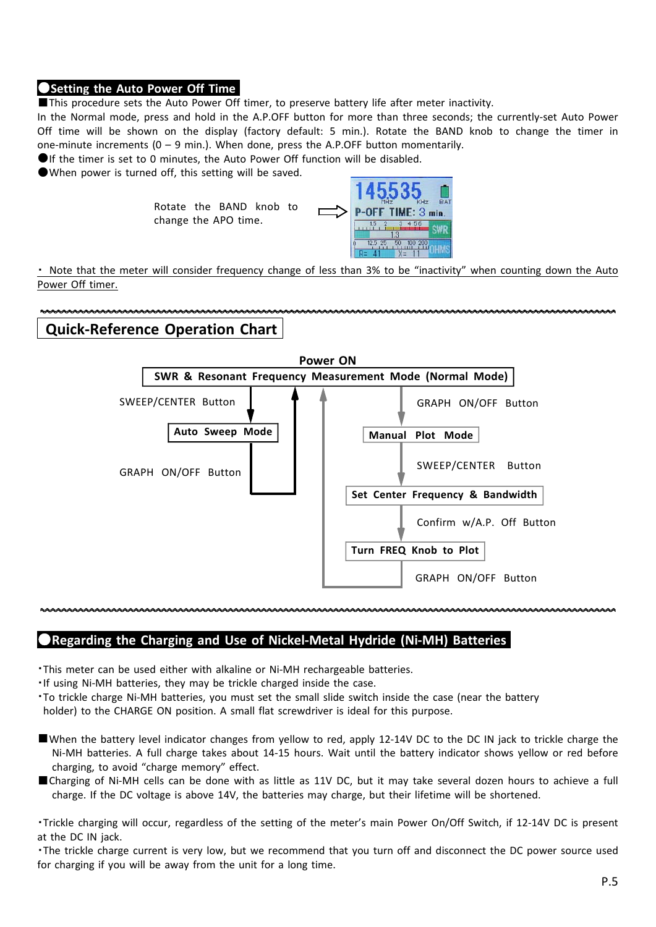#### ●**Setting the Auto Power Off Time**

■This procedure sets the Auto Power Off timer, to preserve battery life after meter inactivity.

In the Normal mode, press and hold in the A.P.OFF button for more than three seconds; the currently‐set Auto Power Off time will be shown on the display (factory default: 5 min.). Rotate the BAND knob to change the timer in one-minute increments  $(0 - 9 \text{ min.})$ . When done, press the A.P.OFF button momentarily.

●If the timer is set to 0 minutes, the Auto Power Off function will be disabled.

●When power is turned off, this setting will be saved.

Rotate the BAND knob to change the APO time.



・ Note that the meter will consider frequency change of less than 3% to be "inactivity" when counting down the Auto Power Off timer.

#### **Quick‐Reference Operation Chart**



## ●**Regarding the Charging and Use of Nickel‐Metal Hydride (Ni‐MH) Batteries**

・This meter can be used either with alkaline or Ni‐MH rechargeable batteries.

- ・If using Ni‐MH batteries, they may be trickle charged inside the case.
- ・To trickle charge Ni‐MH batteries, you must set the small slide switch inside the case (near the battery holder) to the CHARGE ON position. A small flat screwdriver is ideal for this purpose.
- ■When the battery level indicator changes from yellow to red, apply 12-14V DC to the DC IN jack to trickle charge the Ni-MH batteries. A full charge takes about 14-15 hours. Wait until the battery indicator shows yellow or red before charging, to avoid "charge memory" effect.
- ■Charging of Ni-MH cells can be done with as little as 11V DC, but it may take several dozen hours to achieve a full charge. If the DC voltage is above 14V, the batteries may charge, but their lifetime will be shortened.

・Trickle charging will occur, regardless of the setting of the meter's main Power On/Off Switch, if 12‐14V DC is present at the DC IN jack.

・The trickle charge current is very low, but we recommend that you turn off and disconnect the DC power source used for charging if you will be away from the unit for a long time.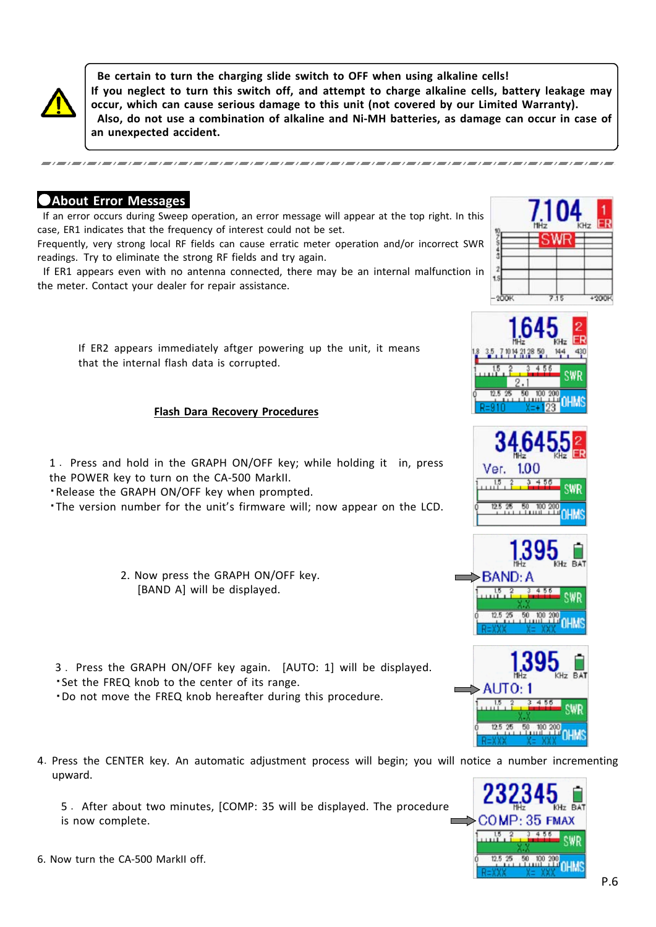

**Be certain to turn the charging slide switch to OFF when using alkaline cells! If you neglect to turn this switch off, and attempt to charge alkaline cells, battery leakage may occur, which can cause serious damage to this unit (not covered by our Limited Warranty). Also, do not use a combination of alkaline and Ni‐MH batteries, as damage can occur in case of an unexpected accident.**

## ●**About Error Messages**

If an error occurs during Sweep operation, an error message will appear at the top right. In this case, ER1 indicates that the frequency of interest could not be set.

Frequently, very strong local RF fields can cause erratic meter operation and/or incorrect SWR readings. Try to eliminate the strong RF fields and try again.

If ER1 appears even with no antenna connected, there may be an internal malfunction in the meter. Contact your dealer for repair assistance.



#### **Flash Dara Recovery Procedures**

1 . Press and hold in the GRAPH ON/OFF key; while holding it in, press the POWER key to turn on the CA‐500 MarkII.

・Release the GRAPH ON/OFF key when prompted.

・The version number for the unit's firmware will; now appear on the LCD.

2. Now press the GRAPH ON/OFF key. [BAND A] will be displayed.

3 . Press the GRAPH ON/OFF key again. [AUTO: 1] will be displayed. ・Set the FREQ knob to the center of its range. ・Do not move the FREQ knob hereafter during this procedure.

- 4.Press the CENTER key. An automatic adjustment process will begin; you will notice a number incrementing upward.
	- 5 . After about two minutes, [COMP: 35 will be displayed. The procedure is now complete.











ALITO

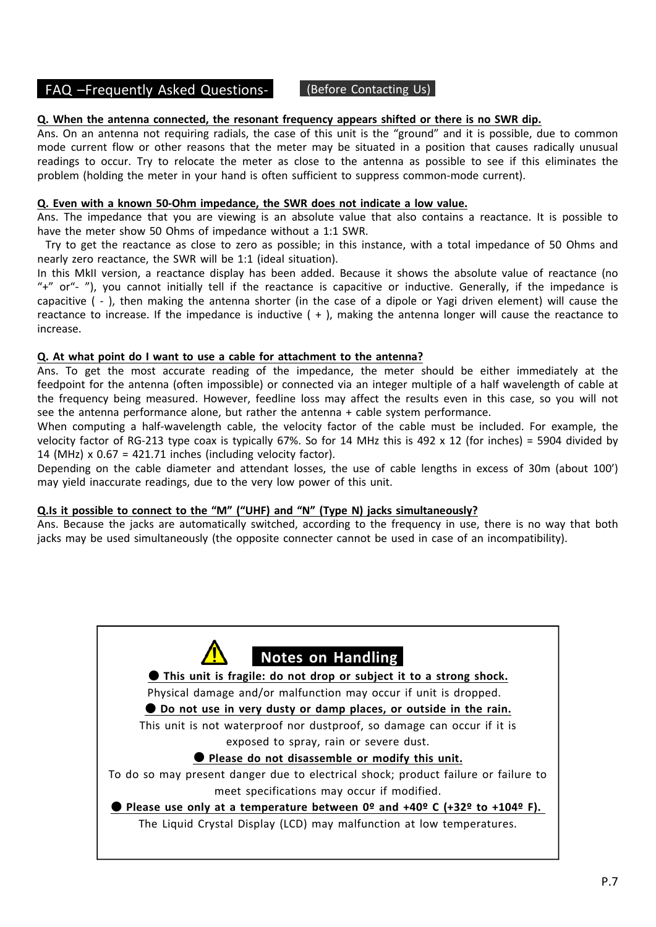## FAQ –Frequently Asked Questions‐ (Before Contacting Us)

#### **Q. When the antenna connected, the resonant frequency appears shifted or there is no SWR dip.**

Ans. On an antenna not requiring radials, the case of this unit is the "ground" and it is possible, due to common mode current flow or other reasons that the meter may be situated in a position that causes radically unusual readings to occur. Try to relocate the meter as close to the antenna as possible to see if this eliminates the problem (holding the meter in your hand is often sufficient to suppress common-mode current).

#### **Q. Even with a known 50‐Ohm impedance, the SWR does not indicate a low value.**

Ans. The impedance that you are viewing is an absolute value that also contains a reactance. It is possible to have the meter show 50 Ohms of impedance without a 1:1 SWR.

Try to get the reactance as close to zero as possible; in this instance, with a total impedance of 50 Ohms and nearly zero reactance, the SWR will be 1:1 (ideal situation).

In this MkII version, a reactance display has been added. Because it shows the absolute value of reactance (no "+" or"‐ "), you cannot initially tell if the reactance is capacitive or inductive. Generally, if the impedance is capacitive ( ‐ ), then making the antenna shorter (in the case of a dipole or Yagi driven element) will cause the reactance to increase. If the impedance is inductive  $( + )$ , making the antenna longer will cause the reactance to increase.

#### **Q. At what point do I want to use a cable for attachment to the antenna?**

Ans. To get the most accurate reading of the impedance, the meter should be either immediately at the feedpoint for the antenna (often impossible) or connected via an integer multiple of a half wavelength of cable at the frequency being measured. However, feedline loss may affect the results even in this case, so you will not see the antenna performance alone, but rather the antenna + cable system performance.

When computing a half-wavelength cable, the velocity factor of the cable must be included. For example, the velocity factor of RG‐213 type coax is typically 67%. So for 14 MHz this is 492 x 12 (for inches) = 5904 divided by 14 (MHz)  $\times$  0.67 = 421.71 inches (including velocity factor).

Depending on the cable diameter and attendant losses, the use of cable lengths in excess of 30m (about 100') may yield inaccurate readings, due to the very low power of this unit.

#### **Q.Is it possible to connect to the "M" ("UHF) and "N" (Type N) jacks simultaneously?**

Ans. Because the jacks are automatically switched, according to the frequency in use, there is no way that both jacks may be used simultaneously (the opposite connecter cannot be used in case of an incompatibility).